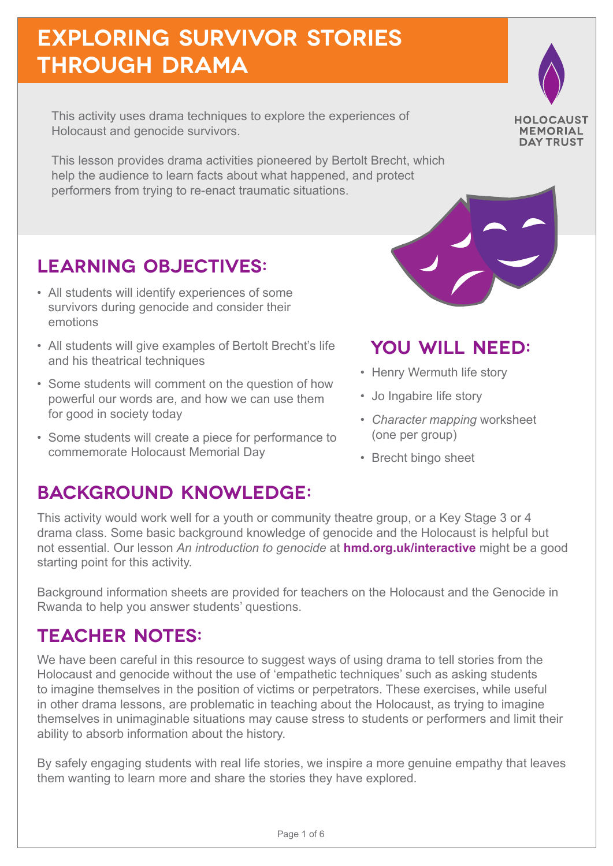## **exploring survivor stories through drama**

This activity uses drama techniques to explore the experiences of Holocaust and genocide survivors.

This lesson provides drama activities pioneered by Bertolt Brecht, which help the audience to learn facts about what happened, and protect performers from trying to re-enact traumatic situations.

### **LEARNING OBJECTIVES:**

- All students will identify experiences of some survivors during genocide and consider their emotions
- All students will give examples of Bertolt Brecht's life and his theatrical techniques
- Some students will comment on the question of how powerful our words are, and how we can use them for good in society today
- Some students will create a piece for performance to commemorate Holocaust Memorial Day

### **BACKGROUND KNOWLEDGE:**

## **YOU WILL NEED:**

**HOLOCAUST MEMORIAL DAY TRUST** 

- Henry Wermuth life story
- Jo Ingabire life story
- *• Character mapping* worksheet (one per group)
- Brecht bingo sheet

This activity would work well for a youth or community theatre group, or a Key Stage 3 or 4 drama class. Some basic background knowledge of genocide and the Holocaust is helpful but not essential. Our lesson *An introduction to genocide* at **hmd.org.uk/interactive** might be a good starting point for this activity.

Background information sheets are provided for teachers on the Holocaust and the Genocide in Rwanda to help you answer students' questions.

### **TEACHER NOTES:**

We have been careful in this resource to suggest ways of using drama to tell stories from the Holocaust and genocide without the use of 'empathetic techniques' such as asking students to imagine themselves in the position of victims or perpetrators. These exercises, while useful in other drama lessons, are problematic in teaching about the Holocaust, as trying to imagine themselves in unimaginable situations may cause stress to students or performers and limit their ability to absorb information about the history.

By safely engaging students with real life stories, we inspire a more genuine empathy that leaves them wanting to learn more and share the stories they have explored.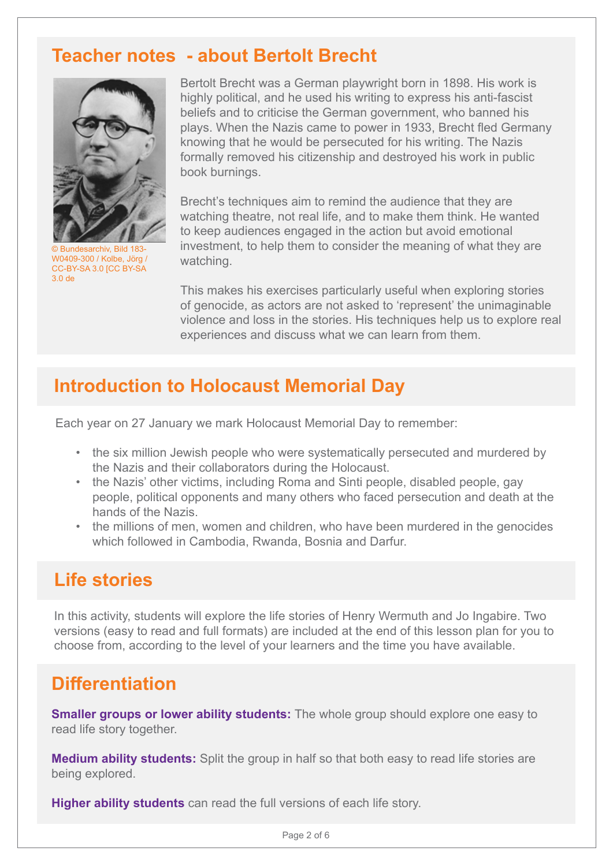#### **Teacher notes - about Bertolt Brecht**



© Bundesarchiv, Bild 183- W0409-300 / Kolbe, Jörg / CC-BY-SA 3.0 [CC BY-SA 3.0 de

Bertolt Brecht was a German playwright born in 1898. His work is highly political, and he used his writing to express his anti-fascist beliefs and to criticise the German government, who banned his plays. When the Nazis came to power in 1933, Brecht fled Germany knowing that he would be persecuted for his writing. The Nazis formally removed his citizenship and destroyed his work in public book burnings.

Brecht's techniques aim to remind the audience that they are watching theatre, not real life, and to make them think. He wanted to keep audiences engaged in the action but avoid emotional investment, to help them to consider the meaning of what they are watching.

This makes his exercises particularly useful when exploring stories of genocide, as actors are not asked to 'represent' the unimaginable violence and loss in the stories. His techniques help us to explore real experiences and discuss what we can learn from them.

### **Introduction to Holocaust Memorial Day**

Each year on 27 January we mark Holocaust Memorial Day to remember:

- the six million Jewish people who were systematically persecuted and murdered by the Nazis and their collaborators during the Holocaust.
- the Nazis' other victims, including Roma and Sinti people, disabled people, gay people, political opponents and many others who faced persecution and death at the hands of the Nazis.
- the millions of men, women and children, who have been murdered in the genocides which followed in Cambodia, Rwanda, Bosnia and Darfur.

### **Life stories**

In this activity, students will explore the life stories of Henry Wermuth and Jo Ingabire. Two versions (easy to read and full formats) are included at the end of this lesson plan for you to choose from, according to the level of your learners and the time you have available.

#### **Differentiation**

**Smaller groups or lower ability students:** The whole group should explore one easy to read life story together.

**Medium ability students:** Split the group in half so that both easy to read life stories are being explored.

**Higher ability students** can read the full versions of each life story.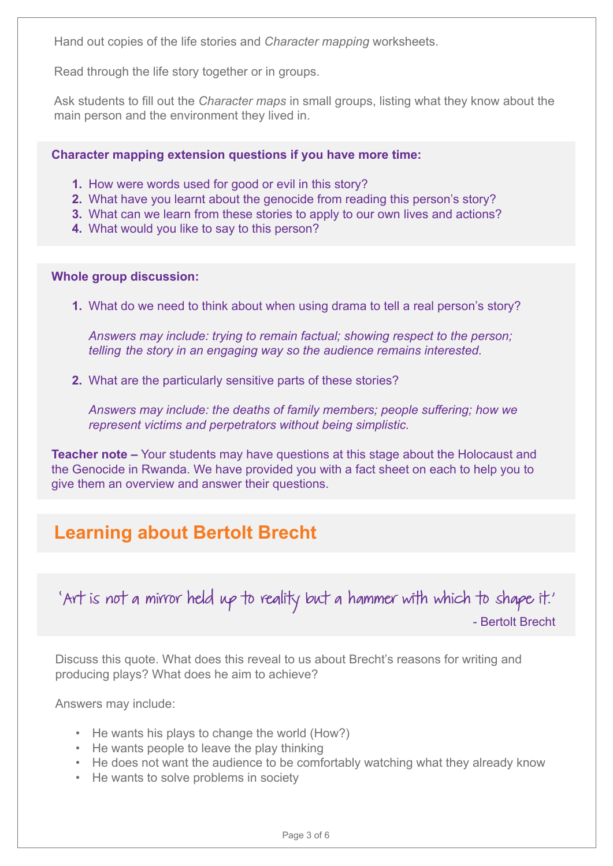Hand out copies of the life stories and *Character mapping* worksheets.

Read through the life story together or in groups.

Ask students to fill out the *Character maps* in small groups, listing what they know about the main person and the environment they lived in.

**Character mapping extension questions if you have more time:**

- **1.** How were words used for good or evil in this story?
- **2.** What have you learnt about the genocide from reading this person's story?
- **3.** What can we learn from these stories to apply to our own lives and actions?
- **4.** What would you like to say to this person?

#### **Whole group discussion:**

**1.** What do we need to think about when using drama to tell a real person's story?

*Answers may include: trying to remain factual; showing respect to the person; telling the story in an engaging way so the audience remains interested.*

**2.** What are the particularly sensitive parts of these stories?

*Answers may include: the deaths of family members; people suffering; how we represent victims and perpetrators without being simplistic.*

**Teacher note –** Your students may have questions at this stage about the Holocaust and the Genocide in Rwanda. We have provided you with a fact sheet on each to help you to give them an overview and answer their questions.

### **Learning about Bertolt Brecht**

'Art is not a mirror held up to reality but a hammer with which to shape it.' - Bertolt Brecht

Discuss this quote. What does this reveal to us about Brecht's reasons for writing and producing plays? What does he aim to achieve?

Answers may include:

- He wants his plays to change the world (How?)
- He wants people to leave the play thinking
- He does not want the audience to be comfortably watching what they already know
- He wants to solve problems in society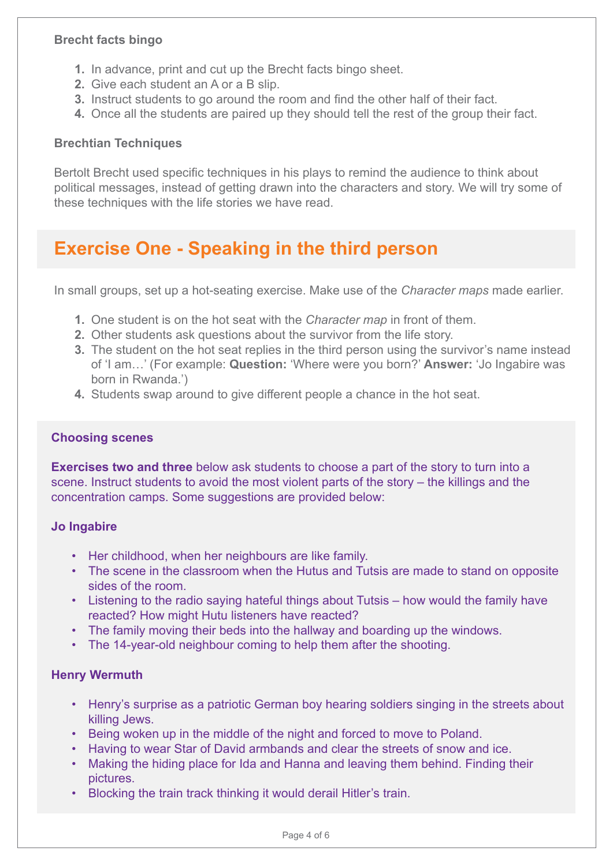#### **Brecht facts bingo**

- **1.** In advance, print and cut up the Brecht facts bingo sheet.
- **2.** Give each student an A or a B slip.
- **3.** Instruct students to go around the room and find the other half of their fact.
- **4.** Once all the students are paired up they should tell the rest of the group their fact.

#### **Brechtian Techniques**

Bertolt Brecht used specific techniques in his plays to remind the audience to think about political messages, instead of getting drawn into the characters and story. We will try some of these techniques with the life stories we have read.

#### **Exercise One - Speaking in the third person**

In small groups, set up a hot-seating exercise. Make use of the *Character maps* made earlier.

- **1.** One student is on the hot seat with the *Character map* in front of them.
- **2.** Other students ask questions about the survivor from the life story.
- **3.** The student on the hot seat replies in the third person using the survivor's name instead of 'I am…' (For example: **Question:** 'Where were you born?' **Answer:** 'Jo Ingabire was born in Rwanda.')
- **4.** Students swap around to give different people a chance in the hot seat.

#### **Choosing scenes**

**Exercises two and three** below ask students to choose a part of the story to turn into a scene. Instruct students to avoid the most violent parts of the story – the killings and the concentration camps. Some suggestions are provided below:

#### **Jo Ingabire**

- Her childhood, when her neighbours are like family.
- The scene in the classroom when the Hutus and Tutsis are made to stand on opposite sides of the room.
- Listening to the radio saying hateful things about Tutsis how would the family have reacted? How might Hutu listeners have reacted?
- The family moving their beds into the hallway and boarding up the windows.
- The 14-year-old neighbour coming to help them after the shooting.

#### **Henry Wermuth**

- Henry's surprise as a patriotic German boy hearing soldiers singing in the streets about killing Jews.
- Being woken up in the middle of the night and forced to move to Poland.
- Having to wear Star of David armbands and clear the streets of snow and ice.
- Making the hiding place for Ida and Hanna and leaving them behind. Finding their pictures.
- Blocking the train track thinking it would derail Hitler's train.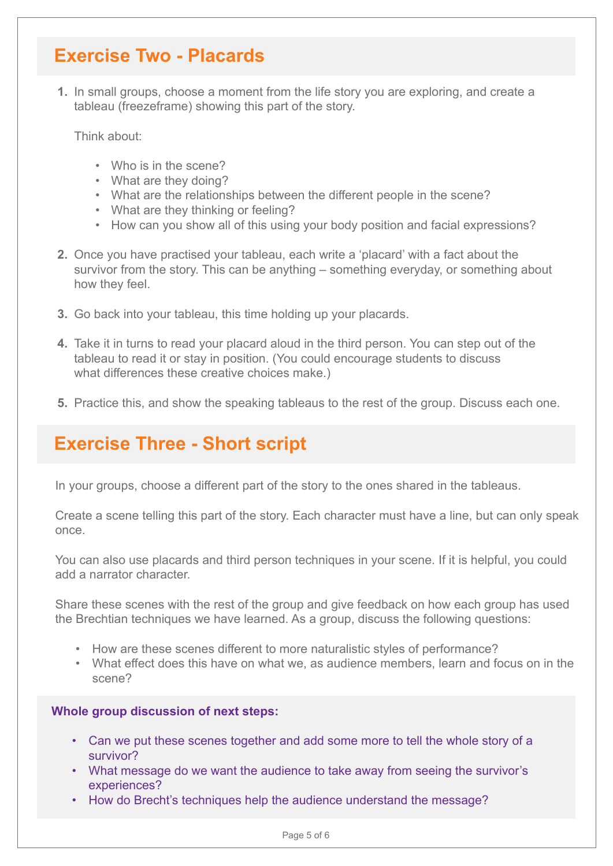#### **Exercise Two - Placards**

**1.** In small groups, choose a moment from the life story you are exploring, and create a tableau (freezeframe) showing this part of the story.

Think about:

- Who is in the scene?
- What are they doing?
- What are the relationships between the different people in the scene?
- What are they thinking or feeling?
- How can you show all of this using your body position and facial expressions?
- **2.** Once you have practised your tableau, each write a 'placard' with a fact about the survivor from the story. This can be anything – something everyday, or something about how they feel.
- **3.** Go back into your tableau, this time holding up your placards.
- **4.** Take it in turns to read your placard aloud in the third person. You can step out of the tableau to read it or stay in position. (You could encourage students to discuss what differences these creative choices make.)
- **5.** Practice this, and show the speaking tableaus to the rest of the group. Discuss each one.

#### **Exercise Three - Short script**

In your groups, choose a different part of the story to the ones shared in the tableaus.

Create a scene telling this part of the story. Each character must have a line, but can only speak once.

You can also use placards and third person techniques in your scene. If it is helpful, you could add a narrator character.

Share these scenes with the rest of the group and give feedback on how each group has used the Brechtian techniques we have learned. As a group, discuss the following questions:

- How are these scenes different to more naturalistic styles of performance?
- What effect does this have on what we, as audience members, learn and focus on in the scene?

#### **Whole group discussion of next steps:**

- Can we put these scenes together and add some more to tell the whole story of a survivor?
- What message do we want the audience to take away from seeing the survivor's experiences?
- How do Brecht's techniques help the audience understand the message?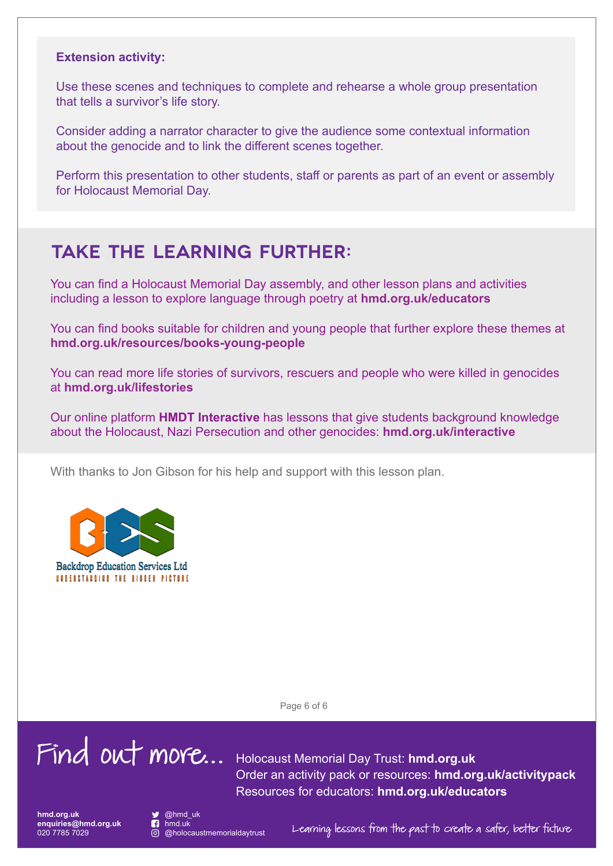#### **Extension activity:**

Use these scenes and techniques to complete and rehearse a whole group presentation that tells a survivor's life story.

Consider adding a narrator character to give the audience some contextual information about the genocide and to link the different scenes together.

Perform this presentation to other students, staff or parents as part of an event or assembly for Holocaust Memorial Day.

#### **TAKE THE LEARNING FURTHER:**

You can find a Holocaust Memorial Day assembly, and other lesson plans and activities including a lesson to explore language through poetry at **hmd.org.uk/educators**

You can find books suitable for children and young people that further explore these themes at **hmd.org.uk/resources/books-young-people**

You can read more life stories of survivors, rescuers and people who were killed in genocides at **hmd.org.uk/lifestories**

Our online platform **HMDT Interactive** has lessons that give students background knowledge about the Holocaust, Nazi Persecution and other genocides: **hmd.org.uk/interactive**

With thanks to Jon Gibson for his help and support with this lesson plan.



**Backdrop Education Services Ltd** UNDERSTANDING THE BIBBER PICTURE

Page 6 of 6

# Find out more... Holocaust Memorial Day Trust: **hmd.org.uk**

Order an activity pack or resources: **hmd.org.uk/activitypack** Resources for educators: **hmd.org.uk/educators**

**hmd.org.uk enquiries@hmd.org.uk** 020 7785 7029



nmd.uk<br>© @holocaustmemorialdaytrust

 $\overline{\circ}$  @holocaustmemorialdaytrust Learning lessons from the past to create a safer, better future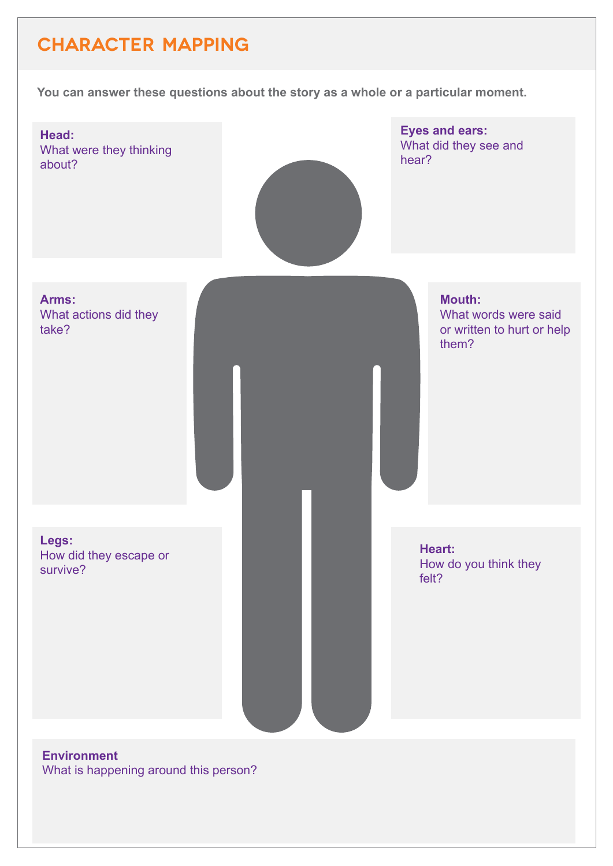### **CHARACTER MAPPING**

**You can answer these questions about the story as a whole or a particular moment.**



What is happening around this person?